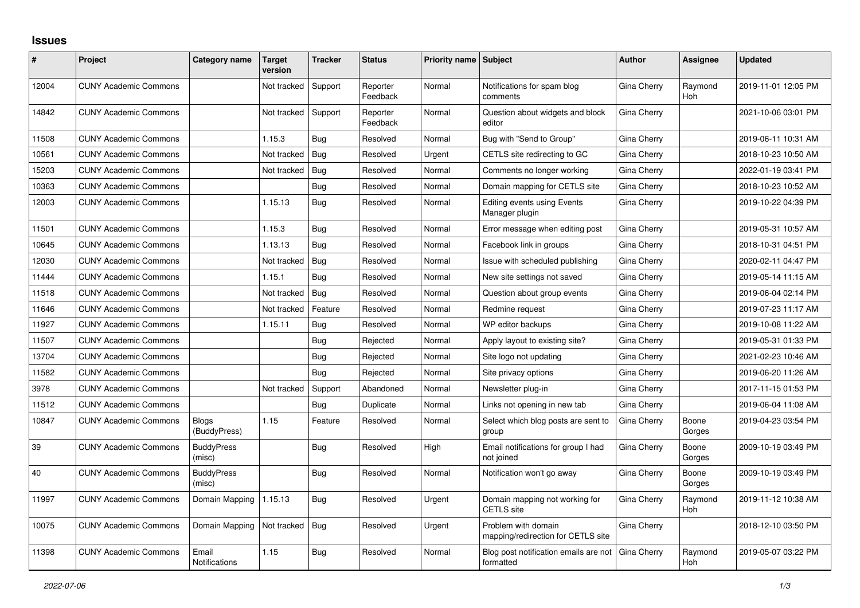## **Issues**

| #     | Project                      | <b>Category name</b>          | Target<br>version | <b>Tracker</b> | <b>Status</b>        | <b>Priority name   Subject</b> |                                                           | <b>Author</b> | <b>Assignee</b>       | <b>Updated</b>      |
|-------|------------------------------|-------------------------------|-------------------|----------------|----------------------|--------------------------------|-----------------------------------------------------------|---------------|-----------------------|---------------------|
| 12004 | <b>CUNY Academic Commons</b> |                               | Not tracked       | Support        | Reporter<br>Feedback | Normal                         | Notifications for spam blog<br>comments                   | Gina Cherry   | Raymond<br><b>Hoh</b> | 2019-11-01 12:05 PM |
| 14842 | <b>CUNY Academic Commons</b> |                               | Not tracked       | Support        | Reporter<br>Feedback | Normal                         | Question about widgets and block<br>editor                | Gina Cherry   |                       | 2021-10-06 03:01 PM |
| 11508 | <b>CUNY Academic Commons</b> |                               | 1.15.3            | Bug            | Resolved             | Normal                         | Bug with "Send to Group"                                  | Gina Cherry   |                       | 2019-06-11 10:31 AM |
| 10561 | <b>CUNY Academic Commons</b> |                               | Not tracked       | Bug            | Resolved             | Urgent                         | CETLS site redirecting to GC                              | Gina Cherry   |                       | 2018-10-23 10:50 AM |
| 15203 | <b>CUNY Academic Commons</b> |                               | Not tracked       | Bug            | Resolved             | Normal                         | Comments no longer working                                | Gina Cherry   |                       | 2022-01-19 03:41 PM |
| 10363 | <b>CUNY Academic Commons</b> |                               |                   | <b>Bug</b>     | Resolved             | Normal                         | Domain mapping for CETLS site                             | Gina Cherry   |                       | 2018-10-23 10:52 AM |
| 12003 | <b>CUNY Academic Commons</b> |                               | 1.15.13           | Bug            | Resolved             | Normal                         | <b>Editing events using Events</b><br>Manager plugin      | Gina Cherry   |                       | 2019-10-22 04:39 PM |
| 11501 | <b>CUNY Academic Commons</b> |                               | 1.15.3            | <b>Bug</b>     | Resolved             | Normal                         | Error message when editing post                           | Gina Cherry   |                       | 2019-05-31 10:57 AM |
| 10645 | <b>CUNY Academic Commons</b> |                               | 1.13.13           | Bug            | Resolved             | Normal                         | Facebook link in groups                                   | Gina Cherry   |                       | 2018-10-31 04:51 PM |
| 12030 | <b>CUNY Academic Commons</b> |                               | Not tracked       | <b>Bug</b>     | Resolved             | Normal                         | Issue with scheduled publishing                           | Gina Cherry   |                       | 2020-02-11 04:47 PM |
| 11444 | <b>CUNY Academic Commons</b> |                               | 1.15.1            | Bug            | Resolved             | Normal                         | New site settings not saved                               | Gina Cherry   |                       | 2019-05-14 11:15 AM |
| 11518 | <b>CUNY Academic Commons</b> |                               | Not tracked       | Bug            | Resolved             | Normal                         | Question about group events                               | Gina Cherry   |                       | 2019-06-04 02:14 PM |
| 11646 | <b>CUNY Academic Commons</b> |                               | Not tracked       | Feature        | Resolved             | Normal                         | Redmine request                                           | Gina Cherry   |                       | 2019-07-23 11:17 AM |
| 11927 | <b>CUNY Academic Commons</b> |                               | 1.15.11           | <b>Bug</b>     | Resolved             | Normal                         | WP editor backups                                         | Gina Cherry   |                       | 2019-10-08 11:22 AM |
| 11507 | <b>CUNY Academic Commons</b> |                               |                   | <b>Bug</b>     | Rejected             | Normal                         | Apply layout to existing site?                            | Gina Cherry   |                       | 2019-05-31 01:33 PM |
| 13704 | <b>CUNY Academic Commons</b> |                               |                   | Bug            | Rejected             | Normal                         | Site logo not updating                                    | Gina Cherry   |                       | 2021-02-23 10:46 AM |
| 11582 | <b>CUNY Academic Commons</b> |                               |                   | Bug            | Rejected             | Normal                         | Site privacy options                                      | Gina Cherry   |                       | 2019-06-20 11:26 AM |
| 3978  | <b>CUNY Academic Commons</b> |                               | Not tracked       | Support        | Abandoned            | Normal                         | Newsletter plug-in                                        | Gina Cherry   |                       | 2017-11-15 01:53 PM |
| 11512 | <b>CUNY Academic Commons</b> |                               |                   | <b>Bug</b>     | Duplicate            | Normal                         | Links not opening in new tab                              | Gina Cherry   |                       | 2019-06-04 11:08 AM |
| 10847 | <b>CUNY Academic Commons</b> | <b>Blogs</b><br>(BuddyPress)  | 1.15              | Feature        | Resolved             | Normal                         | Select which blog posts are sent to<br>group              | Gina Cherry   | Boone<br>Gorges       | 2019-04-23 03:54 PM |
| 39    | <b>CUNY Academic Commons</b> | <b>BuddyPress</b><br>(misc)   |                   | Bug            | Resolved             | High                           | Email notifications for group I had<br>not joined         | Gina Cherry   | Boone<br>Gorges       | 2009-10-19 03:49 PM |
| 40    | <b>CUNY Academic Commons</b> | <b>BuddyPress</b><br>(misc)   |                   | Bug            | Resolved             | Normal                         | Notification won't go away                                | Gina Cherry   | Boone<br>Gorges       | 2009-10-19 03:49 PM |
| 11997 | <b>CUNY Academic Commons</b> | Domain Mapping                | 1.15.13           | Bug            | Resolved             | Urgent                         | Domain mapping not working for<br><b>CETLS</b> site       | Gina Cherry   | Raymond<br>Hoh        | 2019-11-12 10:38 AM |
| 10075 | <b>CUNY Academic Commons</b> | Domain Mapping                | Not tracked       | Bug            | Resolved             | Urgent                         | Problem with domain<br>mapping/redirection for CETLS site | Gina Cherry   |                       | 2018-12-10 03:50 PM |
| 11398 | <b>CUNY Academic Commons</b> | Email<br><b>Notifications</b> | 1.15              | Bug            | Resolved             | Normal                         | Blog post notification emails are not<br>formatted        | Gina Cherry   | Raymond<br>Hoh        | 2019-05-07 03:22 PM |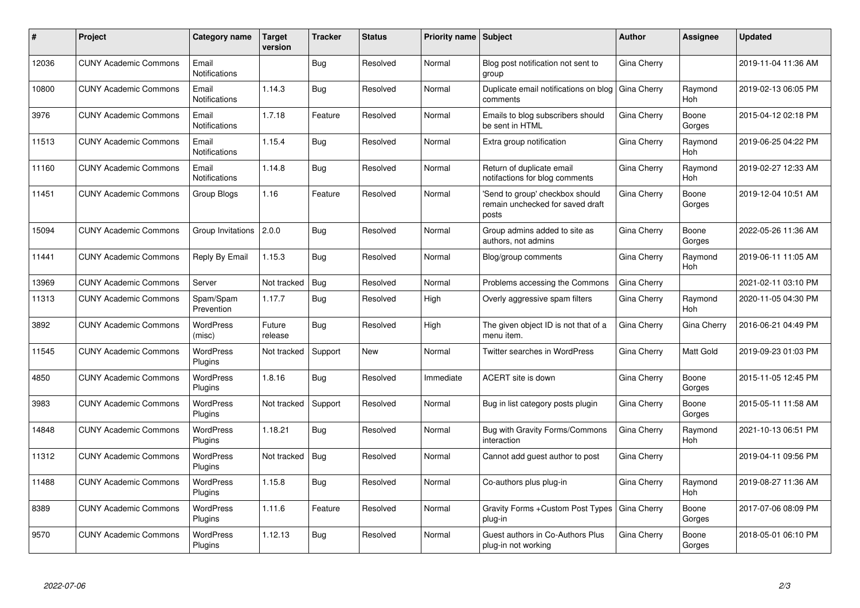| #     | Project                      | Category name                 | <b>Target</b><br>version | <b>Tracker</b> | <b>Status</b> | <b>Priority name Subject</b> |                                                                              | <b>Author</b> | Assignee              | <b>Updated</b>      |
|-------|------------------------------|-------------------------------|--------------------------|----------------|---------------|------------------------------|------------------------------------------------------------------------------|---------------|-----------------------|---------------------|
| 12036 | <b>CUNY Academic Commons</b> | Email<br><b>Notifications</b> |                          | Bug            | Resolved      | Normal                       | Blog post notification not sent to<br>group                                  | Gina Cherry   |                       | 2019-11-04 11:36 AM |
| 10800 | <b>CUNY Academic Commons</b> | Email<br><b>Notifications</b> | 1.14.3                   | Bug            | Resolved      | Normal                       | Duplicate email notifications on blog<br>comments                            | Gina Cherry   | Raymond<br>Hoh        | 2019-02-13 06:05 PM |
| 3976  | <b>CUNY Academic Commons</b> | Email<br>Notifications        | 1.7.18                   | Feature        | Resolved      | Normal                       | Emails to blog subscribers should<br>be sent in HTML                         | Gina Cherry   | Boone<br>Gorges       | 2015-04-12 02:18 PM |
| 11513 | <b>CUNY Academic Commons</b> | Email<br>Notifications        | 1.15.4                   | Bug            | Resolved      | Normal                       | Extra group notification                                                     | Gina Cherry   | Raymond<br>Hoh        | 2019-06-25 04:22 PM |
| 11160 | <b>CUNY Academic Commons</b> | Email<br><b>Notifications</b> | 1.14.8                   | Bug            | Resolved      | Normal                       | Return of duplicate email<br>notifactions for blog comments                  | Gina Cherry   | Raymond<br><b>Hoh</b> | 2019-02-27 12:33 AM |
| 11451 | <b>CUNY Academic Commons</b> | Group Blogs                   | 1.16                     | Feature        | Resolved      | Normal                       | 'Send to group' checkbox should<br>remain unchecked for saved draft<br>posts | Gina Cherry   | Boone<br>Gorges       | 2019-12-04 10:51 AM |
| 15094 | <b>CUNY Academic Commons</b> | Group Invitations             | 2.0.0                    | Bug            | Resolved      | Normal                       | Group admins added to site as<br>authors, not admins                         | Gina Cherry   | Boone<br>Gorges       | 2022-05-26 11:36 AM |
| 11441 | <b>CUNY Academic Commons</b> | Reply By Email                | 1.15.3                   | Bug            | Resolved      | Normal                       | Blog/group comments                                                          | Gina Cherry   | Raymond<br>Hoh        | 2019-06-11 11:05 AM |
| 13969 | <b>CUNY Academic Commons</b> | Server                        | Not tracked              | Bug            | Resolved      | Normal                       | Problems accessing the Commons                                               | Gina Cherry   |                       | 2021-02-11 03:10 PM |
| 11313 | <b>CUNY Academic Commons</b> | Spam/Spam<br>Prevention       | 1.17.7                   | Bug            | Resolved      | High                         | Overly aggressive spam filters                                               | Gina Cherry   | Raymond<br>Hoh        | 2020-11-05 04:30 PM |
| 3892  | <b>CUNY Academic Commons</b> | <b>WordPress</b><br>(misc)    | Future<br>release        | Bug            | Resolved      | High                         | The given object ID is not that of a<br>menu item.                           | Gina Cherry   | Gina Cherry           | 2016-06-21 04:49 PM |
| 11545 | <b>CUNY Academic Commons</b> | <b>WordPress</b><br>Plugins   | Not tracked              | Support        | New           | Normal                       | <b>Twitter searches in WordPress</b>                                         | Gina Cherry   | Matt Gold             | 2019-09-23 01:03 PM |
| 4850  | <b>CUNY Academic Commons</b> | <b>WordPress</b><br>Plugins   | 1.8.16                   | Bug            | Resolved      | Immediate                    | ACERT site is down                                                           | Gina Cherry   | Boone<br>Gorges       | 2015-11-05 12:45 PM |
| 3983  | <b>CUNY Academic Commons</b> | <b>WordPress</b><br>Plugins   | Not tracked              | Support        | Resolved      | Normal                       | Bug in list category posts plugin                                            | Gina Cherry   | Boone<br>Gorges       | 2015-05-11 11:58 AM |
| 14848 | <b>CUNY Academic Commons</b> | WordPress<br>Plugins          | 1.18.21                  | <b>Bug</b>     | Resolved      | Normal                       | Bug with Gravity Forms/Commons<br>interaction                                | Gina Cherry   | Raymond<br><b>Hoh</b> | 2021-10-13 06:51 PM |
| 11312 | <b>CUNY Academic Commons</b> | WordPress<br>Plugins          | Not tracked              | Bug            | Resolved      | Normal                       | Cannot add guest author to post                                              | Gina Cherry   |                       | 2019-04-11 09:56 PM |
| 11488 | <b>CUNY Academic Commons</b> | <b>WordPress</b><br>Plugins   | 1.15.8                   | Bug            | Resolved      | Normal                       | Co-authors plus plug-in                                                      | Gina Cherry   | Raymond<br><b>Hoh</b> | 2019-08-27 11:36 AM |
| 8389  | <b>CUNY Academic Commons</b> | <b>WordPress</b><br>Plugins   | 1.11.6                   | Feature        | Resolved      | Normal                       | Gravity Forms + Custom Post Types<br>plug-in                                 | Gina Cherry   | Boone<br>Gorges       | 2017-07-06 08:09 PM |
| 9570  | <b>CUNY Academic Commons</b> | WordPress<br>Plugins          | 1.12.13                  | Bug            | Resolved      | Normal                       | Guest authors in Co-Authors Plus<br>plug-in not working                      | Gina Cherry   | Boone<br>Gorges       | 2018-05-01 06:10 PM |